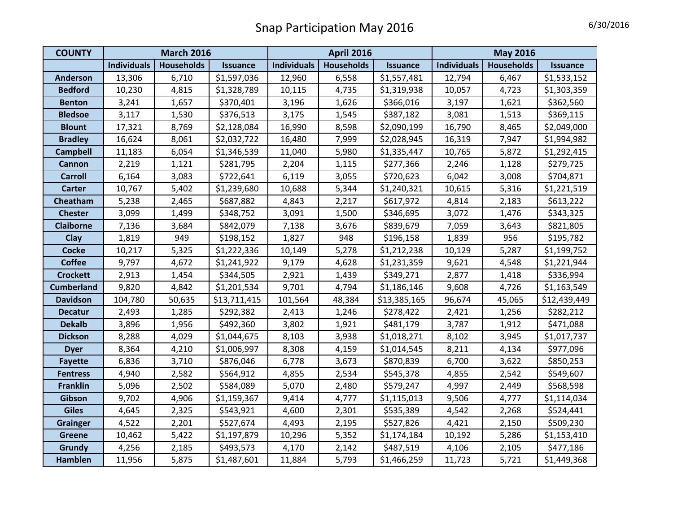| <b>COUNTY</b>     | <b>March 2016</b>  |                   |                 | <b>April 2016</b>  |                   |                 | <b>May 2016</b>    |                   |                 |
|-------------------|--------------------|-------------------|-----------------|--------------------|-------------------|-----------------|--------------------|-------------------|-----------------|
|                   | <b>Individuals</b> | <b>Households</b> | <b>Issuance</b> | <b>Individuals</b> | <b>Households</b> | <b>Issuance</b> | <b>Individuals</b> | <b>Households</b> | <b>Issuance</b> |
| <b>Anderson</b>   | 13,306             | 6,710             | \$1,597,036     | 12,960             | 6,558             | \$1,557,481     | 12,794             | 6,467             | \$1,533,152     |
| <b>Bedford</b>    | 10,230             | 4,815             | \$1,328,789     | 10,115             | 4,735             | \$1,319,938     | 10,057             | 4,723             | \$1,303,359     |
| <b>Benton</b>     | 3,241              | 1,657             | \$370,401       | 3,196              | 1,626             | \$366,016       | 3,197              | 1,621             | \$362,560       |
| <b>Bledsoe</b>    | 3,117              | 1,530             | \$376,513       | 3,175              | 1,545             | \$387,182       | 3,081              | 1,513             | \$369,115       |
| <b>Blount</b>     | 17,321             | 8,769             | \$2,128,084     | 16,990             | 8,598             | \$2,090,199     | 16,790             | 8,465             | \$2,049,000     |
| <b>Bradley</b>    | 16,624             | 8,061             | \$2,032,722     | 16,480             | 7,999             | \$2,028,945     | 16,319             | 7,947             | \$1,994,982     |
| <b>Campbell</b>   | 11,183             | 6,054             | \$1,346,539     | 11,040             | 5,980             | \$1,335,447     | 10,765             | 5,872             | \$1,292,415     |
| <b>Cannon</b>     | 2,219              | 1,121             | \$281,795       | 2,204              | 1,115             | \$277,366       | 2,246              | 1,128             | \$279,725       |
| <b>Carroll</b>    | 6,164              | 3,083             | \$722,641       | 6,119              | 3,055             | \$720,623       | 6,042              | 3,008             | \$704,871       |
| <b>Carter</b>     | 10,767             | 5,402             | \$1,239,680     | 10,688             | 5,344             | \$1,240,321     | 10,615             | 5,316             | \$1,221,519     |
| Cheatham          | 5,238              | 2,465             | \$687,882       | 4,843              | 2,217             | \$617,972       | 4,814              | 2,183             | \$613,222       |
| <b>Chester</b>    | 3,099              | 1,499             | \$348,752       | 3,091              | 1,500             | \$346,695       | 3,072              | 1,476             | \$343,325       |
| <b>Claiborne</b>  | 7,136              | 3,684             | \$842,079       | 7,138              | 3,676             | \$839,679       | 7,059              | 3,643             | \$821,805       |
| Clay              | 1,819              | 949               | \$198,152       | 1,827              | 948               | \$196,158       | 1,839              | 956               | \$195,782       |
| <b>Cocke</b>      | 10,217             | 5,325             | \$1,222,336     | 10,149             | 5,278             | \$1,212,238     | 10,129             | 5,287             | \$1,199,752     |
| <b>Coffee</b>     | 9,797              | 4,672             | \$1,241,922     | 9,179              | 4,628             | \$1,231,359     | 9,621              | 4,548             | \$1,221,944     |
| <b>Crockett</b>   | 2,913              | 1,454             | \$344,505       | 2,921              | 1,439             | \$349,271       | 2,877              | 1,418             | \$336,994       |
| <b>Cumberland</b> | 9,820              | 4,842             | \$1,201,534     | 9,701              | 4,794             | \$1,186,146     | 9,608              | 4,726             | \$1,163,549     |
| <b>Davidson</b>   | 104,780            | 50,635            | \$13,711,415    | 101,564            | 48,384            | \$13,385,165    | 96,674             | 45,065            | \$12,439,449    |
| <b>Decatur</b>    | 2,493              | 1,285             | \$292,382       | 2,413              | 1,246             | \$278,422       | 2,421              | 1,256             | \$282,212       |
| <b>Dekalb</b>     | 3,896              | 1,956             | \$492,360       | 3,802              | 1,921             | \$481,179       | 3,787              | 1,912             | \$471,088       |
| <b>Dickson</b>    | 8,288              | 4,029             | \$1,044,675     | 8,103              | 3,938             | \$1,018,271     | 8,102              | 3,945             | \$1,017,737     |
| <b>Dyer</b>       | 8,364              | 4,210             | \$1,006,997     | 8,308              | 4,159             | \$1,014,545     | 8,211              | 4,134             | \$977,096       |
| <b>Fayette</b>    | 6,836              | 3,710             | \$876,046       | 6,778              | 3,673             | \$870,839       | 6,700              | 3,622             | \$850,253       |
| <b>Fentress</b>   | 4,940              | 2,582             | \$564,912       | 4,855              | 2,534             | \$545,378       | 4,855              | 2,542             | \$549,607       |
| <b>Franklin</b>   | 5,096              | 2,502             | \$584,089       | 5,070              | 2,480             | \$579,247       | 4,997              | 2,449             | \$568,598       |
| Gibson            | 9,702              | 4,906             | \$1,159,367     | 9,414              | 4,777             | \$1,115,013     | 9,506              | 4,777             | \$1,114,034     |
| <b>Giles</b>      | 4,645              | 2,325             | \$543,921       | 4,600              | 2,301             | \$535,389       | 4,542              | 2,268             | \$524,441       |
| <b>Grainger</b>   | 4,522              | 2,201             | \$527,674       | 4,493              | 2,195             | \$527,826       | 4,421              | 2,150             | \$509,230       |
| <b>Greene</b>     | 10,462             | 5,422             | \$1,197,879     | 10,296             | 5,352             | \$1,174,184     | 10,192             | 5,286             | \$1,153,410     |
| Grundy            | 4,256              | 2,185             | \$493,573       | 4,170              | 2,142             | \$487,519       | 4,106              | 2,105             | \$477,186       |
| Hamblen           | 11,956             | 5,875             | \$1,487,601     | 11,884             | 5,793             | \$1,466,259     | 11,723             | 5,721             | \$1,449,368     |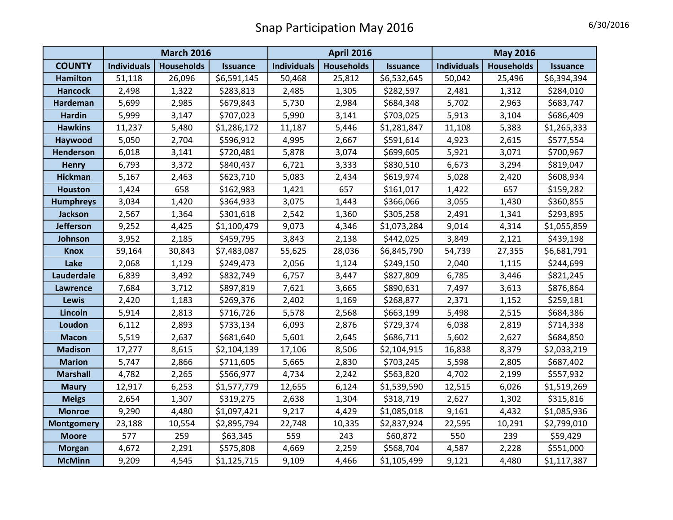|                   | <b>March 2016</b>  |                   |                 | <b>April 2016</b>  |                   |                 | <b>May 2016</b>    |                   |                 |
|-------------------|--------------------|-------------------|-----------------|--------------------|-------------------|-----------------|--------------------|-------------------|-----------------|
| <b>COUNTY</b>     | <b>Individuals</b> | <b>Households</b> | <b>Issuance</b> | <b>Individuals</b> | <b>Households</b> | <b>Issuance</b> | <b>Individuals</b> | <b>Households</b> | <b>Issuance</b> |
| <b>Hamilton</b>   | 51,118             | 26,096            | \$6,591,145     | 50,468             | 25,812            | \$6,532,645     | 50,042             | 25,496            | \$6,394,394     |
| <b>Hancock</b>    | 2,498              | 1,322             | \$283,813       | 2,485              | 1,305             | \$282,597       | 2,481              | 1,312             | \$284,010       |
| Hardeman          | 5,699              | 2,985             | \$679,843       | 5,730              | 2,984             | \$684,348       | 5,702              | 2,963             | \$683,747       |
| <b>Hardin</b>     | 5,999              | 3,147             | \$707,023       | 5,990              | 3,141             | \$703,025       | 5,913              | 3,104             | \$686,409       |
| <b>Hawkins</b>    | 11,237             | 5,480             | \$1,286,172     | 11,187             | 5,446             | \$1,281,847     | 11,108             | 5,383             | \$1,265,333     |
| Haywood           | 5,050              | 2,704             | \$596,912       | 4,995              | 2,667             | \$591,614       | 4,923              | 2,615             | \$577,554       |
| <b>Henderson</b>  | 6,018              | 3,141             | \$720,481       | 5,878              | 3,074             | \$699,605       | 5,921              | 3,071             | \$700,967       |
| <b>Henry</b>      | 6,793              | 3,372             | \$840,437       | 6,721              | 3,333             | \$830,510       | 6,673              | 3,294             | \$819,047       |
| <b>Hickman</b>    | 5,167              | 2,463             | \$623,710       | 5,083              | 2,434             | \$619,974       | 5,028              | 2,420             | \$608,934       |
| <b>Houston</b>    | 1,424              | 658               | \$162,983       | 1,421              | 657               | \$161,017       | 1,422              | 657               | \$159,282       |
| <b>Humphreys</b>  | 3,034              | 1,420             | \$364,933       | 3,075              | 1,443             | \$366,066       | 3,055              | 1,430             | \$360,855       |
| <b>Jackson</b>    | 2,567              | 1,364             | \$301,618       | 2,542              | 1,360             | \$305,258       | 2,491              | 1,341             | \$293,895       |
| <b>Jefferson</b>  | 9,252              | 4,425             | \$1,100,479     | 9,073              | 4,346             | \$1,073,284     | 9,014              | 4,314             | \$1,055,859     |
| Johnson           | 3,952              | 2,185             | \$459,795       | 3,843              | 2,138             | \$442,025       | 3,849              | 2,121             | \$439,198       |
| <b>Knox</b>       | 59,164             | 30,843            | \$7,483,087     | 55,625             | 28,036            | \$6,845,790     | 54,739             | 27,355            | \$6,681,791     |
| Lake              | 2,068              | 1,129             | \$249,473       | 2,056              | 1,124             | \$249,150       | 2,040              | 1,115             | \$244,699       |
| Lauderdale        | 6,839              | 3,492             | \$832,749       | 6,757              | 3,447             | \$827,809       | 6,785              | 3,446             | \$821,245       |
| <b>Lawrence</b>   | 7,684              | 3,712             | \$897,819       | 7,621              | 3,665             | \$890,631       | 7,497              | 3,613             | \$876,864       |
| <b>Lewis</b>      | 2,420              | 1,183             | \$269,376       | 2,402              | 1,169             | \$268,877       | 2,371              | 1,152             | \$259,181       |
| Lincoln           | 5,914              | 2,813             | \$716,726       | 5,578              | 2,568             | \$663,199       | 5,498              | 2,515             | \$684,386       |
| Loudon            | 6,112              | 2,893             | \$733,134       | 6,093              | 2,876             | \$729,374       | 6,038              | 2,819             | \$714,338       |
| <b>Macon</b>      | 5,519              | 2,637             | \$681,640       | 5,601              | 2,645             | \$686,711       | 5,602              | 2,627             | \$684,850       |
| <b>Madison</b>    | 17,277             | 8,615             | \$2,104,139     | 17,106             | 8,506             | \$2,104,915     | 16,838             | 8,379             | \$2,033,219     |
| <b>Marion</b>     | 5,747              | 2,866             | \$711,605       | 5,665              | 2,830             | \$703,245       | 5,598              | 2,805             | \$687,402       |
| <b>Marshall</b>   | 4,782              | 2,265             | \$566,977       | 4,734              | 2,242             | \$563,820       | 4,702              | 2,199             | \$557,932       |
| <b>Maury</b>      | 12,917             | 6,253             | \$1,577,779     | 12,655             | 6,124             | \$1,539,590     | 12,515             | 6,026             | \$1,519,269     |
| <b>Meigs</b>      | 2,654              | 1,307             | \$319,275       | 2,638              | 1,304             | \$318,719       | 2,627              | 1,302             | \$315,816       |
| <b>Monroe</b>     | 9,290              | 4,480             | \$1,097,421     | 9,217              | 4,429             | \$1,085,018     | 9,161              | 4,432             | \$1,085,936     |
| <b>Montgomery</b> | 23,188             | 10,554            | \$2,895,794     | 22,748             | 10,335            | \$2,837,924     | 22,595             | 10,291            | \$2,799,010     |
| <b>Moore</b>      | 577                | 259               | \$63,345        | 559                | 243               | \$60,872        | 550                | 239               | \$59,429        |
| <b>Morgan</b>     | 4,672              | 2,291             | \$575,808       | 4,669              | 2,259             | \$568,704       | 4,587              | 2,228             | \$551,000       |
| <b>McMinn</b>     | 9,209              | 4,545             | \$1,125,715     | 9,109              | 4,466             | \$1,105,499     | 9,121              | 4,480             | \$1,117,387     |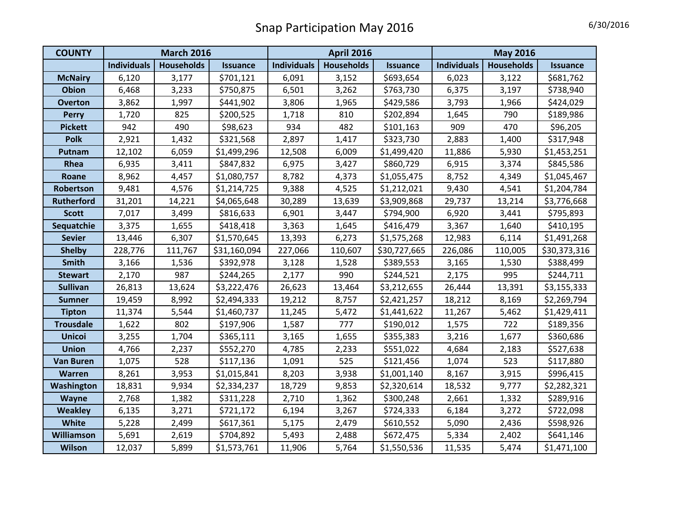| <b>COUNTY</b>     | <b>March 2016</b>  |                   |                 | <b>April 2016</b>  |                   |                 | <b>May 2016</b>    |                   |                 |
|-------------------|--------------------|-------------------|-----------------|--------------------|-------------------|-----------------|--------------------|-------------------|-----------------|
|                   | <b>Individuals</b> | <b>Households</b> | <b>Issuance</b> | <b>Individuals</b> | <b>Households</b> | <b>Issuance</b> | <b>Individuals</b> | <b>Households</b> | <b>Issuance</b> |
| <b>McNairy</b>    | 6,120              | 3,177             | \$701,121       | 6,091              | 3,152             | \$693,654       | 6,023              | 3,122             | \$681,762       |
| Obion             | 6,468              | 3,233             | \$750,875       | 6,501              | 3,262             | \$763,730       | 6,375              | 3,197             | \$738,940       |
| <b>Overton</b>    | 3,862              | 1,997             | \$441,902       | 3,806              | 1,965             | \$429,586       | 3,793              | 1,966             | \$424,029       |
| <b>Perry</b>      | 1,720              | 825               | \$200,525       | 1,718              | 810               | \$202,894       | 1,645              | 790               | \$189,986       |
| <b>Pickett</b>    | 942                | 490               | \$98,623        | 934                | 482               | \$101,163       | 909                | 470               | \$96,205        |
| <b>Polk</b>       | 2,921              | 1,432             | \$321,568       | 2,897              | 1,417             | \$323,730       | 2,883              | 1,400             | \$317,948       |
| Putnam            | 12,102             | 6,059             | \$1,499,296     | 12,508             | 6,009             | \$1,499,420     | 11,886             | 5,930             | \$1,453,251     |
| Rhea              | 6,935              | 3,411             | \$847,832       | 6,975              | 3,427             | \$860,729       | 6,915              | 3,374             | \$845,586       |
| Roane             | 8,962              | 4,457             | \$1,080,757     | 8,782              | 4,373             | \$1,055,475     | 8,752              | 4,349             | \$1,045,467     |
| Robertson         | 9,481              | 4,576             | \$1,214,725     | 9,388              | 4,525             | \$1,212,021     | 9,430              | 4,541             | \$1,204,784     |
| <b>Rutherford</b> | 31,201             | 14,221            | \$4,065,648     | 30,289             | 13,639            | \$3,909,868     | 29,737             | 13,214            | \$3,776,668     |
| <b>Scott</b>      | 7,017              | 3,499             | \$816,633       | 6,901              | 3,447             | \$794,900       | 6,920              | 3,441             | \$795,893       |
| Sequatchie        | 3,375              | 1,655             | \$418,418       | 3,363              | 1,645             | \$416,479       | 3,367              | 1,640             | \$410,195       |
| <b>Sevier</b>     | 13,446             | 6,307             | \$1,570,645     | 13,393             | 6,273             | \$1,575,268     | 12,983             | 6,114             | \$1,491,268     |
| <b>Shelby</b>     | 228,776            | 111,767           | \$31,160,094    | 227,066            | 110,607           | \$30,727,665    | 226,086            | 110,005           | \$30,373,316    |
| <b>Smith</b>      | 3,166              | 1,536             | \$392,978       | 3,128              | 1,528             | \$389,553       | 3,165              | 1,530             | \$388,499       |
| <b>Stewart</b>    | 2,170              | 987               | \$244,265       | 2,177              | 990               | \$244,521       | 2,175              | 995               | \$244,711       |
| <b>Sullivan</b>   | 26,813             | 13,624            | \$3,222,476     | 26,623             | 13,464            | \$3,212,655     | 26,444             | 13,391            | \$3,155,333     |
| <b>Sumner</b>     | 19,459             | 8,992             | \$2,494,333     | 19,212             | 8,757             | \$2,421,257     | 18,212             | 8,169             | \$2,269,794     |
| <b>Tipton</b>     | 11,374             | 5,544             | \$1,460,737     | 11,245             | 5,472             | \$1,441,622     | 11,267             | 5,462             | \$1,429,411     |
| <b>Trousdale</b>  | 1,622              | 802               | \$197,906       | 1,587              | 777               | \$190,012       | 1,575              | 722               | \$189,356       |
| <b>Unicoi</b>     | 3,255              | 1,704             | \$365,111       | 3,165              | 1,655             | \$355,383       | 3,216              | 1,677             | \$360,686       |
| <b>Union</b>      | 4,766              | 2,237             | \$552,270       | 4,785              | 2,233             | \$551,022       | 4,684              | 2,183             | \$527,638       |
| <b>Van Buren</b>  | 1,075              | 528               | \$117,136       | 1,091              | 525               | \$121,456       | 1,074              | 523               | \$117,880       |
| <b>Warren</b>     | 8,261              | 3,953             | \$1,015,841     | 8,203              | 3,938             | \$1,001,140     | 8,167              | 3,915             | \$996,415       |
| Washington        | 18,831             | 9,934             | \$2,334,237     | 18,729             | 9,853             | \$2,320,614     | 18,532             | 9,777             | \$2,282,321     |
| Wayne             | 2,768              | 1,382             | \$311,228       | 2,710              | 1,362             | \$300,248       | 2,661              | 1,332             | \$289,916       |
| <b>Weakley</b>    | 6,135              | 3,271             | \$721,172       | 6,194              | 3,267             | \$724,333       | 6,184              | 3,272             | \$722,098       |
| White             | 5,228              | 2,499             | \$617,361       | 5,175              | 2,479             | \$610,552       | 5,090              | 2,436             | \$598,926       |
| <b>Williamson</b> | 5,691              | 2,619             | \$704,892       | 5,493              | 2,488             | \$672,475       | 5,334              | 2,402             | \$641,146       |
| <b>Wilson</b>     | 12,037             | 5,899             | \$1,573,761     | 11,906             | 5,764             | \$1,550,536     | 11,535             | 5,474             | \$1,471,100     |